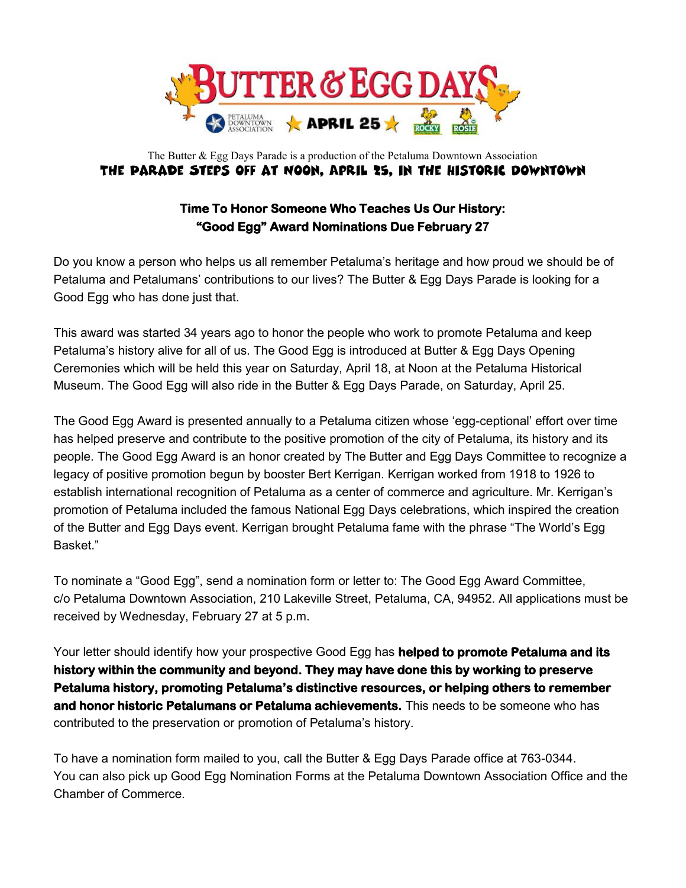

## The Butter & Egg Days Parade is a production of the Petaluma Downtown Association THE PARADE STEPS OFF AT NOON, APRIL 25, IN THE HISTORIC DOWNTOWN

## **Time To Honor Someone Who Teaches Us Our History: "Good Egg" Award Nominations Due February 27**

Do you know a person who helps us all remember Petaluma's heritage and how proud we should be of Petaluma and Petalumans' contributions to our lives? The Butter & Egg Days Parade is looking for a Good Egg who has done just that.

This award was started 34 years ago to honor the people who work to promote Petaluma and keep Petaluma's history alive for all of us. The Good Egg is introduced at Butter & Egg Days Opening Ceremonies which will be held this year on Saturday, April 18, at Noon at the Petaluma Historical Museum. The Good Egg will also ride in the Butter & Egg Days Parade, on Saturday, April 25.

The Good Egg Award is presented annually to a Petaluma citizen whose 'egg-ceptional' effort over time has helped preserve and contribute to the positive promotion of the city of Petaluma, its history and its people. The Good Egg Award is an honor created by The Butter and Egg Days Committee to recognize a legacy of positive promotion begun by booster Bert Kerrigan. Kerrigan worked from 1918 to 1926 to establish international recognition of Petaluma as a center of commerce and agriculture. Mr. Kerrigan's promotion of Petaluma included the famous National Egg Days celebrations, which inspired the creation of the Butter and Egg Days event. Kerrigan brought Petaluma fame with the phrase "The World's Egg Basket."

To nominate a "Good Egg", send a nomination form or letter to: The Good Egg Award Committee, c/o Petaluma Downtown Association, 210 Lakeville Street, Petaluma, CA, 94952. All applications must be received by Wednesday, February 27 at 5 p.m.

Your letter should identify how your prospective Good Egg has **helped to promote Petaluma and its history within the community and beyond. They may have done this by working to preserve Petaluma history, promoting Petaluma's distinctive resources, or helping others to remember and honor historic Petalumans or Petaluma achievements.** This needs to be someone who has contributed to the preservation or promotion of Petaluma's history.

To have a nomination form mailed to you, call the Butter & Egg Days Parade office at 763-0344. You can also pick up Good Egg Nomination Forms at the Petaluma Downtown Association Office and the Chamber of Commerce.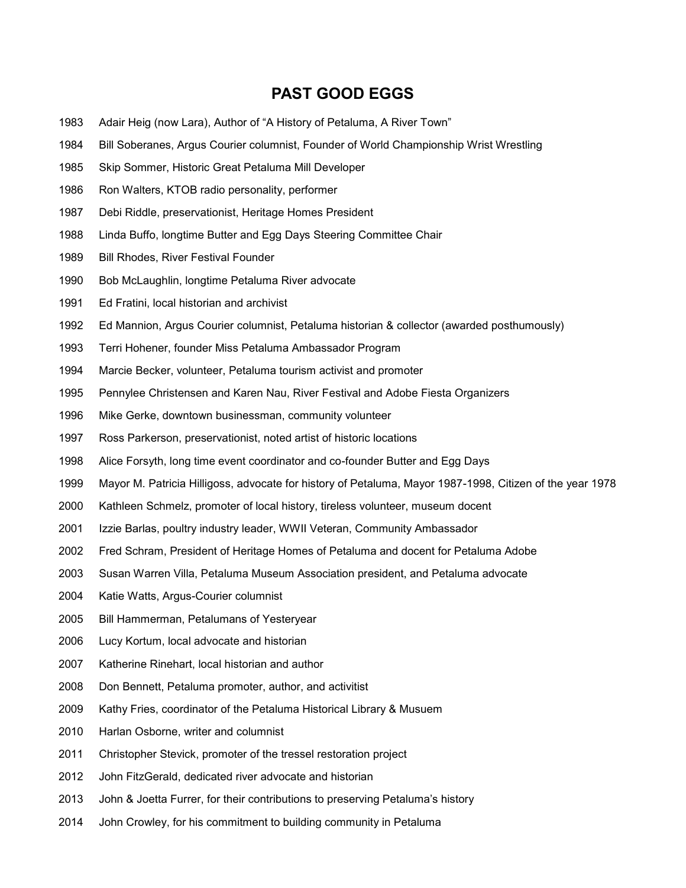## **PAST GOOD EGGS**

- 1983 Adair Heig (now Lara), Author of "A History of Petaluma, A River Town"
- 1984 Bill Soberanes, Argus Courier columnist, Founder of World Championship Wrist Wrestling
- 1985 Skip Sommer, Historic Great Petaluma Mill Developer
- 1986 Ron Walters, KTOB radio personality, performer
- 1987 Debi Riddle, preservationist, Heritage Homes President
- 1988 Linda Buffo, longtime Butter and Egg Days Steering Committee Chair
- 1989 Bill Rhodes, River Festival Founder
- 1990 Bob McLaughlin, longtime Petaluma River advocate
- 1991 Ed Fratini, local historian and archivist
- 1992 Ed Mannion, Argus Courier columnist, Petaluma historian & collector (awarded posthumously)
- 1993 Terri Hohener, founder Miss Petaluma Ambassador Program
- 1994 Marcie Becker, volunteer, Petaluma tourism activist and promoter
- 1995 Pennylee Christensen and Karen Nau, River Festival and Adobe Fiesta Organizers
- 1996 Mike Gerke, downtown businessman, community volunteer
- 1997 Ross Parkerson, preservationist, noted artist of historic locations
- 1998 Alice Forsyth, long time event coordinator and co-founder Butter and Egg Days
- 1999 Mayor M. Patricia Hilligoss, advocate for history of Petaluma, Mayor 1987-1998, Citizen of the year 1978
- 2000 Kathleen Schmelz, promoter of local history, tireless volunteer, museum docent
- 2001 Izzie Barlas, poultry industry leader, WWII Veteran, Community Ambassador
- 2002 Fred Schram, President of Heritage Homes of Petaluma and docent for Petaluma Adobe
- 2003 Susan Warren Villa, Petaluma Museum Association president, and Petaluma advocate
- 2004 Katie Watts, Argus-Courier columnist
- 2005 Bill Hammerman, Petalumans of Yesteryear
- 2006 Lucy Kortum, local advocate and historian
- 2007 Katherine Rinehart, local historian and author
- 2008 Don Bennett, Petaluma promoter, author, and activitist
- 2009 Kathy Fries, coordinator of the Petaluma Historical Library & Musuem
- 2010 Harlan Osborne, writer and columnist
- 2011 Christopher Stevick, promoter of the tressel restoration project
- 2012 John FitzGerald, dedicated river advocate and historian
- 2013 John & Joetta Furrer, for their contributions to preserving Petaluma's history
- 2014 John Crowley, for his commitment to building community in Petaluma